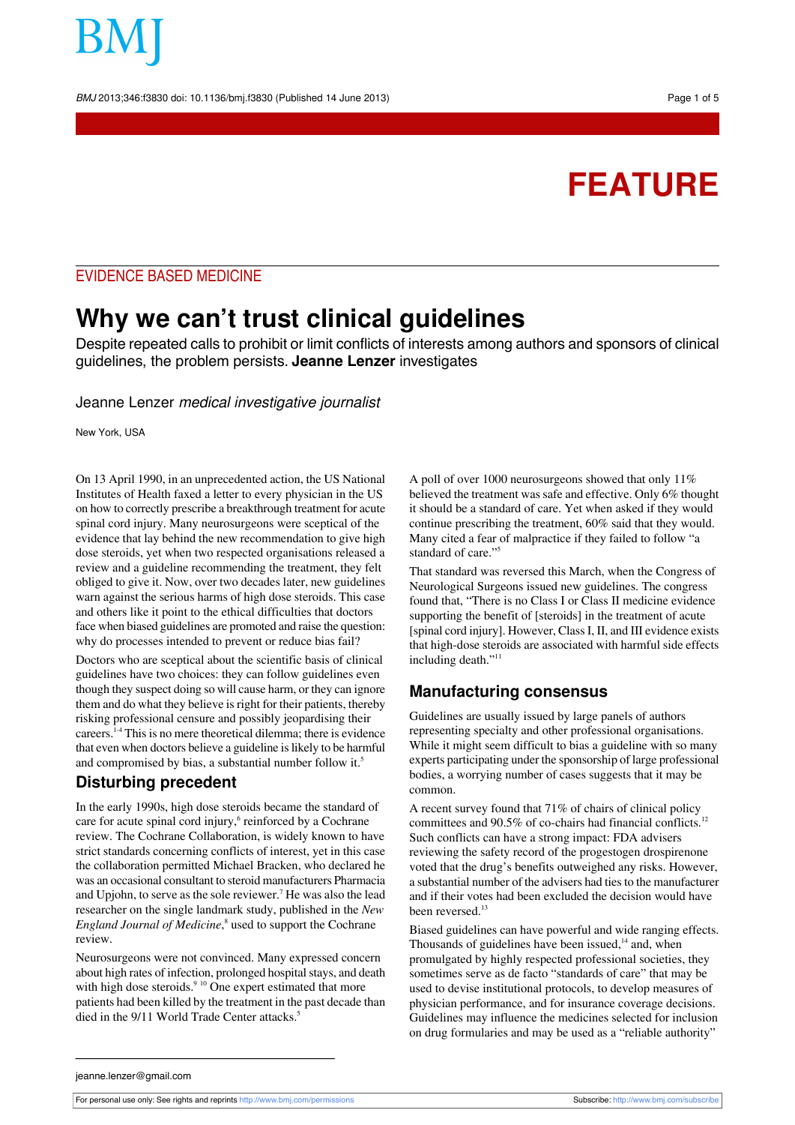*BMJ* 2013;346:f3830 doi: 10.1136/bmj.f3830 (Published 14 June 2013) Page 1 of 5

# **FEATURE**

#### EVIDENCE BASED MEDICINE

## **Why we can't trust clinical guidelines**

Despite repeated calls to prohibit or limit conflicts of interests among authors and sponsors of clinical guidelines, the problem persists. **Jeanne Lenzer** investigates

Jeanne Lenzer *medical investigative journalist*

New York, USA

On 13 April 1990, in an unprecedented action, the US National Institutes of Health faxed a letter to every physician in the US on how to correctly prescribe a breakthrough treatment for acute spinal cord injury. Many neurosurgeons were sceptical of the evidence that lay behind the new recommendation to give high dose steroids, yet when two respected organisations released a review and a guideline recommending the treatment, they felt obliged to give it. Now, over two decades later, new guidelines warn against the serious harms of high dose steroids. This case and others like it point to the ethical difficulties that doctors face when biased guidelines are promoted and raise the question: why do processes intended to prevent or reduce bias fail?

Doctors who are sceptical about the scientific basis of clinical guidelines have two choices: they can follow guidelines even though they suspect doing so will cause harm, or they can ignore them and do what they believe is right for their patients, thereby risking professional censure and possibly jeopardising their careers.<sup>14</sup> This is no mere theoretical dilemma; there is evidence that even when doctors believe a guideline is likely to be harmful and compromised by bias, a substantial number follow it.<sup>5</sup>

#### **Disturbing precedent**

In the early 1990s, high dose steroids became the standard of care for acute spinal cord injury,<sup>6</sup> reinforced by a Cochrane review. The Cochrane Collaboration, is widely known to have strict standards concerning conflicts of interest, yet in this case the collaboration permitted Michael Bracken, who declared he was an occasional consultant to steroid manufacturers Pharmacia and Upjohn, to serve as the sole reviewer.<sup>7</sup> He was also the lead researcher on the single landmark study, published in the *New England Journal of Medicine*, <sup>8</sup> used to support the Cochrane review.

Neurosurgeons were not convinced. Many expressed concern about high rates of infection, prolonged hospital stays, and death with high dose steroids. $9^{10}$  One expert estimated that more patients had been killed by the treatment in the past decade than died in the 9/11 World Trade Center attacks.<sup>5</sup>

A poll of over 1000 neurosurgeons showed that only 11% believed the treatment was safe and effective. Only 6% thought it should be a standard of care. Yet when asked if they would continue prescribing the treatment, 60% said that they would. Many cited a fear of malpractice if they failed to follow "a standard of care."<sup>5</sup>

That standard was reversed this March, when the Congress of Neurological Surgeons issued new guidelines. The congress found that, "There is no Class I or Class II medicine evidence supporting the benefit of [steroids] in the treatment of acute [spinal cord injury]. However, Class I, II, and III evidence exists that high-dose steroids are associated with harmful side effects including death."<sup>11</sup>

#### **Manufacturing consensus**

Guidelines are usually issued by large panels of authors representing specialty and other professional organisations. While it might seem difficult to bias a guideline with so many experts participating under the sponsorship of large professional bodies, a worrying number of cases suggests that it may be common.

A recent survey found that 71% of chairs of clinical policy committees and 90.5% of co-chairs had financial conflicts.<sup>12</sup> Such conflicts can have a strong impact: FDA advisers reviewing the safety record of the progestogen drospirenone voted that the drug's benefits outweighed any risks. However, a substantial number of the advisers had tiesto the manufacturer and if their votes had been excluded the decision would have been reversed.<sup>13</sup>

Biased guidelines can have powerful and wide ranging effects. Thousands of guidelines have been issued, $^{14}$  and, when promulgated by highly respected professional societies, they sometimes serve as de facto "standards of care" that may be used to devise institutional protocols, to develop measures of physician performance, and for insurance coverage decisions. Guidelines may influence the medicines selected for inclusion on drug formularies and may be used as a "reliable authority"

jeanne.lenzer@gmail.com

For personal use only: See rights and reprints<http://www.bmj.com/permissions> Subscribe: <http://www.bmj.com/subscribe>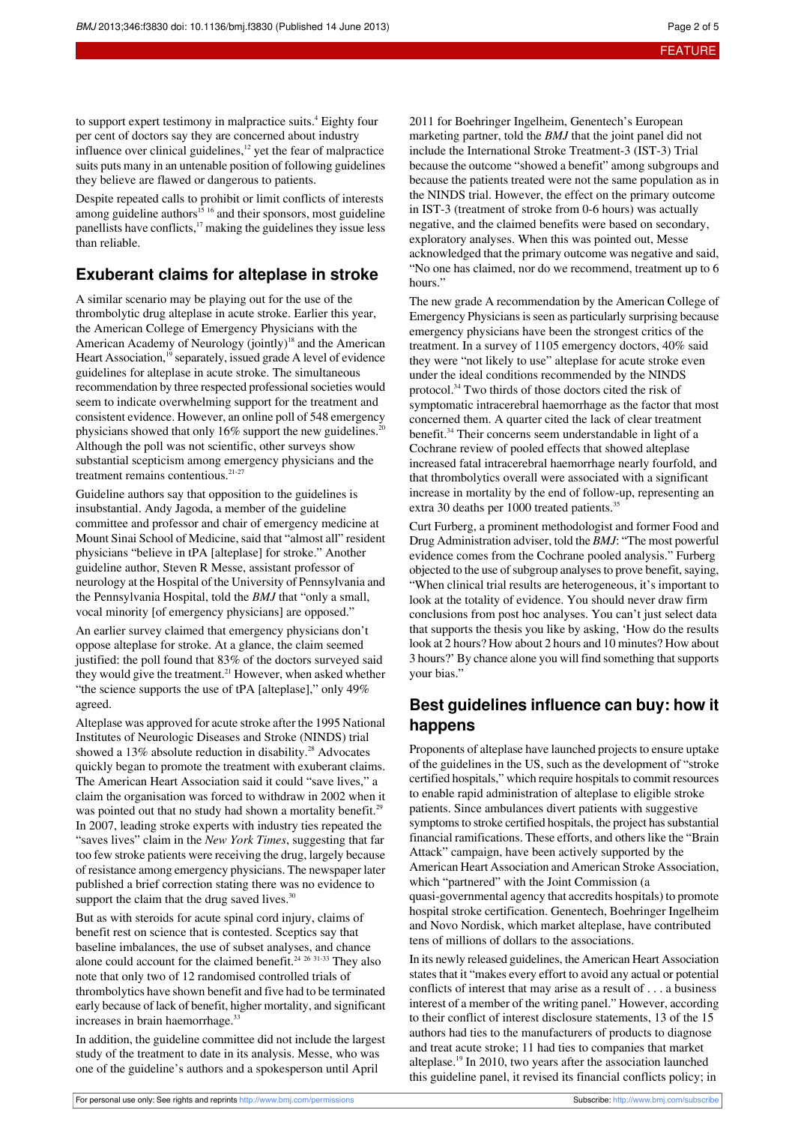to support expert testimony in malpractice suits.<sup>4</sup> Eighty four per cent of doctors say they are concerned about industry influence over clinical guidelines, $12$  yet the fear of malpractice suits puts many in an untenable position of following guidelines they believe are flawed or dangerous to patients.

Despite repeated calls to prohibit or limit conflicts of interests among guideline authors<sup>15</sup> 16 and their sponsors, most guideline panellists have conflicts, $17$  making the guidelines they issue less than reliable.

#### **Exuberant claims for alteplase in stroke**

A similar scenario may be playing out for the use of the thrombolytic drug alteplase in acute stroke. Earlier this year, the American College of Emergency Physicians with the American Academy of Neurology (jointly)<sup>18</sup> and the American Heart Association,<sup>19</sup> separately, issued grade A level of evidence guidelines for alteplase in acute stroke. The simultaneous recommendation by three respected professional societies would seem to indicate overwhelming support for the treatment and consistent evidence. However, an online poll of 548 emergency physicians showed that only 16% support the new guidelines.<sup>20</sup> Although the poll was not scientific, other surveys show substantial scepticism among emergency physicians and the treatment remains contentious.<sup>21-27</sup>

Guideline authors say that opposition to the guidelines is insubstantial. Andy Jagoda, a member of the guideline committee and professor and chair of emergency medicine at Mount Sinai School of Medicine, said that "almost all" resident physicians "believe in tPA [alteplase] for stroke." Another guideline author, Steven R Messe, assistant professor of neurology at the Hospital of the University of Pennsylvania and the Pennsylvania Hospital, told the *BMJ* that "only a small, vocal minority [of emergency physicians] are opposed."

An earlier survey claimed that emergency physicians don't oppose alteplase for stroke. At a glance, the claim seemed justified: the poll found that 83% of the doctors surveyed said they would give the treatment.<sup>21</sup> However, when asked whether "the science supports the use of tPA [alteplase]," only 49% agreed.

Alteplase was approved for acute stroke after the 1995 National Institutes of Neurologic Diseases and Stroke (NINDS) trial showed a 13% absolute reduction in disability.<sup>28</sup> Advocates quickly began to promote the treatment with exuberant claims. The American Heart Association said it could "save lives," a claim the organisation was forced to withdraw in 2002 when it was pointed out that no study had shown a mortality benefit.<sup>29</sup> In 2007, leading stroke experts with industry ties repeated the "saves lives" claim in the *New York Times*, suggesting that far too few stroke patients were receiving the drug, largely because of resistance among emergency physicians. The newspaper later published a brief correction stating there was no evidence to support the claim that the drug saved lives.<sup>30</sup>

But as with steroids for acute spinal cord injury, claims of benefit rest on science that is contested. Sceptics say that baseline imbalances, the use of subset analyses, and chance alone could account for the claimed benefit.<sup>24 26 31-33</sup> They also note that only two of 12 randomised controlled trials of thrombolytics have shown benefit and five had to be terminated early because of lack of benefit, higher mortality, and significant increases in brain haemorrhage.<sup>33</sup>

In addition, the guideline committee did not include the largest study of the treatment to date in its analysis. Messe, who was one of the guideline's authors and a spokesperson until April

2011 for Boehringer Ingelheim, Genentech's European marketing partner, told the *BMJ* that the joint panel did not include the International Stroke Treatment-3 (IST-3) Trial because the outcome "showed a benefit" among subgroups and because the patients treated were not the same population as in the NINDS trial. However, the effect on the primary outcome in IST-3 (treatment of stroke from 0-6 hours) was actually negative, and the claimed benefits were based on secondary, exploratory analyses. When this was pointed out, Messe acknowledged that the primary outcome was negative and said, "No one has claimed, nor do we recommend, treatment up to 6 hours."

The new grade A recommendation by the American College of Emergency Physicians is seen as particularly surprising because emergency physicians have been the strongest critics of the treatment. In a survey of 1105 emergency doctors, 40% said they were "not likely to use" alteplase for acute stroke even under the ideal conditions recommended by the NINDS protocol.34 Two thirds of those doctors cited the risk of symptomatic intracerebral haemorrhage as the factor that most concerned them. A quarter cited the lack of clear treatment benefit.<sup>34</sup> Their concerns seem understandable in light of a Cochrane review of pooled effects that showed alteplase increased fatal intracerebral haemorrhage nearly fourfold, and that thrombolytics overall were associated with a significant increase in mortality by the end of follow-up, representing an extra 30 deaths per 1000 treated patients.<sup>35</sup>

Curt Furberg, a prominent methodologist and former Food and Drug Administration adviser, told the *BMJ*: "The most powerful evidence comes from the Cochrane pooled analysis." Furberg objected to the use of subgroup analyses to prove benefit, saying, "When clinical trial results are heterogeneous, it's important to look at the totality of evidence. You should never draw firm conclusions from post hoc analyses. You can't just select data that supports the thesis you like by asking, 'How do the results look at 2 hours? How about 2 hours and 10 minutes? How about 3 hours?' By chance alone you will find something thatsupports your bias."

#### **Best guidelines influence can buy: how it happens**

Proponents of alteplase have launched projects to ensure uptake of the guidelines in the US, such as the development of "stroke certified hospitals," which require hospitals to commit resources to enable rapid administration of alteplase to eligible stroke patients. Since ambulances divert patients with suggestive symptoms to stroke certified hospitals, the project has substantial financial ramifications. These efforts, and others like the "Brain Attack" campaign, have been actively supported by the American Heart Association and American Stroke Association, which "partnered" with the Joint Commission (a quasi-governmental agency that accredits hospitals) to promote hospital stroke certification. Genentech, Boehringer Ingelheim and Novo Nordisk, which market alteplase, have contributed tens of millions of dollars to the associations.

In its newly released guidelines, the American Heart Association states that it "makes every effort to avoid any actual or potential conflicts of interest that may arise as a result of . . . a business interest of a member of the writing panel." However, according to their conflict of interest disclosure statements, 13 of the 15 authors had ties to the manufacturers of products to diagnose and treat acute stroke; 11 had ties to companies that market alteplase.19 In 2010, two years after the association launched this guideline panel, it revised its financial conflicts policy; in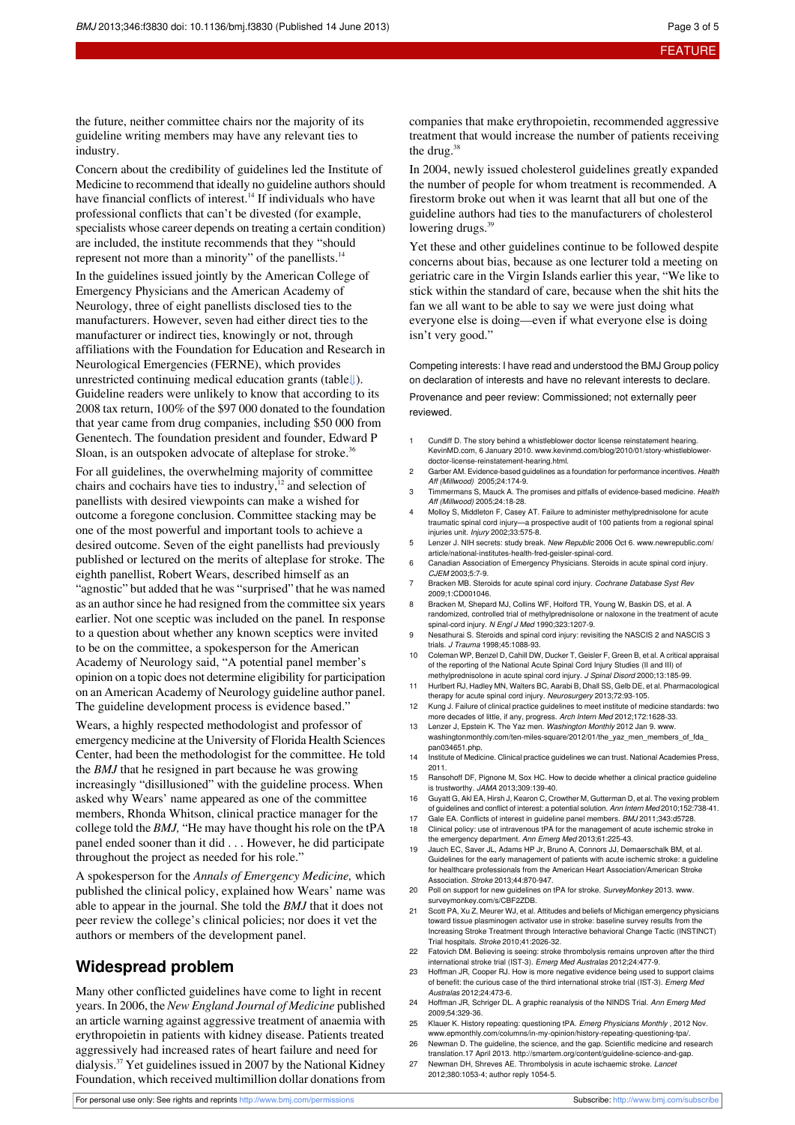the future, neither committee chairs nor the majority of its guideline writing members may have any relevant ties to industry.

Concern about the credibility of guidelines led the Institute of Medicine to recommend that ideally no guideline authors should have financial conflicts of interest.<sup>14</sup> If individuals who have professional conflicts that can't be divested (for example, specialists whose career depends on treating a certain condition) are included, the institute recommends that they "should represent not more than a minority" of the panellists.<sup>14</sup>

In the guidelines issued jointly by the American College of Emergency Physicians and the American Academy of Neurology, three of eight panellists disclosed ties to the manufacturers. However, seven had either direct ties to the manufacturer or indirect ties, knowingly or not, through affiliations with the Foundation for Education and Research in Neurological Emergencies (FERNE), which provides unrestricted continuing medical education grants (table[⇓\)](#page-4-0). Guideline readers were unlikely to know that according to its 2008 tax return, 100% of the \$97 000 donated to the foundation that year came from drug companies, including \$50 000 from Genentech. The foundation president and founder, Edward P Sloan, is an outspoken advocate of alteplase for stroke.<sup>36</sup>

For all guidelines, the overwhelming majority of committee chairs and cochairs have ties to industry,<sup>12</sup> and selection of panellists with desired viewpoints can make a wished for outcome a foregone conclusion. Committee stacking may be one of the most powerful and important tools to achieve a desired outcome. Seven of the eight panellists had previously published or lectured on the merits of alteplase for stroke. The eighth panellist, Robert Wears, described himself as an "agnostic" but added that he was "surprised" that he was named as an author since he had resigned from the committee six years earlier. Not one sceptic was included on the panel*.* In response to a question about whether any known sceptics were invited to be on the committee, a spokesperson for the American Academy of Neurology said, "A potential panel member's opinion on a topic does not determine eligibility for participation on an American Academy of Neurology guideline author panel. The guideline development process is evidence based."

Wears, a highly respected methodologist and professor of emergency medicine at the University of Florida Health Sciences Center, had been the methodologist for the committee. He told the *BMJ* that he resigned in part because he was growing increasingly "disillusioned" with the guideline process. When asked why Wears' name appeared as one of the committee members, Rhonda Whitson, clinical practice manager for the college told the *BMJ,* "He may have thought his role on the tPA panel ended sooner than it did . . . However, he did participate throughout the project as needed for his role."

A spokesperson for the *Annals of Emergency Medicine,* which published the clinical policy, explained how Wears' name was able to appear in the journal. She told the *BMJ* that it does not peer review the college's clinical policies; nor does it vet the authors or members of the development panel.

#### **Widespread problem**

Many other conflicted guidelines have come to light in recent years. In 2006, the *New England Journal of Medicine* published an article warning against aggressive treatment of anaemia with erythropoietin in patients with kidney disease. Patients treated aggressively had increased rates of heart failure and need for dialysis.37 Yet guidelines issued in 2007 by the National Kidney Foundation, which received multimillion dollar donations from

companies that make erythropoietin, recommended aggressive treatment that would increase the number of patients receiving the drug. $3$ 

In 2004, newly issued cholesterol guidelines greatly expanded the number of people for whom treatment is recommended. A firestorm broke out when it was learnt that all but one of the guideline authors had ties to the manufacturers of cholesterol lowering drugs.<sup>39</sup>

Yet these and other guidelines continue to be followed despite concerns about bias, because as one lecturer told a meeting on geriatric care in the Virgin Islands earlier this year, "We like to stick within the standard of care, because when the shit hits the fan we all want to be able to say we were just doing what everyone else is doing—even if what everyone else is doing isn't very good."

Competing interests: I have read and understood the BMJ Group policy on declaration of interests and have no relevant interests to declare. Provenance and peer review: Commissioned; not externally peer reviewed.

- Cundiff D. The story behind a whistleblower doctor license reinstatement hearing. KevinMD.com, 6 January 2010. [www.kevinmd.com/blog/2010/01/story-whistleblower](http://www.kevinmd.com/blog/2010/01/story-whistleblower-doctor-license-reinstatement-hearing.html)[doctor-license-reinstatement-hearing.html.](http://www.kevinmd.com/blog/2010/01/story-whistleblower-doctor-license-reinstatement-hearing.html)
- 2 Garber AM. Evidence-based guidelines as a foundation for performance incentives. *Health Aff (Millwood)* 2005;24:174-9.
- 3 Timmermans S, Mauck A. The promises and pitfalls of evidence-based medicine. *Health Aff (Millwood)* 2005;24:18-28.
- 4 Molloy S, Middleton F, Casey AT. Failure to administer methylprednisolone for acute traumatic spinal cord injury—a prospective audit of 100 patients from a regional spinal injuries unit. *Injury* 2002;33:575-8.
- 5 Lenzer J. NIH secrets: study break. *New Republic* 2006 Oct 6. [www.newrepublic.com/](http://www.newrepublic.com/article/national-institutes-health-fred-geisler-spinal-cord) [article/national-institutes-health-fred-geisler-spinal-cord.](http://www.newrepublic.com/article/national-institutes-health-fred-geisler-spinal-cord)
- 6 Canadian Association of Emergency Physicians. Steroids in acute spinal cord injury. *CJEM* 2003;5:7-9.
- 7 Bracken MB. Steroids for acute spinal cord injury. *Cochrane Database Syst Rev* 2009;1:CD001046. Bracken M, Shepard MJ, Collins WF, Holford TR, Young W, Baskin DS, et al. A
- randomized, controlled trial of methylprednisolone or naloxone in the treatment of a spinal-cord injury. *N Engl J Med* 1990;323:1207-9.
- 9 Nesathurai S. Steroids and spinal cord injury: revisiting the NASCIS 2 and NASCIS 3 trials. *J Trauma* 1998;45:1088-93.
- 10 Coleman WP, Benzel D, Cahill DW, Ducker T, Geisler F, Green B, et al. A critical appraisal of the reporting of the National Acute Spinal Cord Injury Studies (II and III) of methylprednisolone in acute spinal cord injury. *J Spinal Disord* 2000;13:185-99.
- 11 Hurlbert RJ, Hadley MN, Walters BC, Aarabi B, Dhall SS, Gelb DE, et al. Pharmacological therapy for acute spinal cord injury. *Neurosurgery* 2013;72:93-105.
- 12 Kung J. Failure of clinical practice guidelines to meet institute of medicine standards: two more decades of little, if any, progress. *Arch Intern Med* 2012;172:1628-33.
- 13 Lenzer J, Epstein K. The Yaz men. *Washington Monthly* 2012 Jan 9. [www.](http://www.washingtonmonthly.com/ten-miles-square/2012/01/the_yaz_men_members_of_fda_pan034651.php) [washingtonmonthly.com/ten-miles-square/2012/01/the\\_yaz\\_men\\_members\\_of\\_fda\\_](http://www.washingtonmonthly.com/ten-miles-square/2012/01/the_yaz_men_members_of_fda_pan034651.php) [pan034651.php.](http://www.washingtonmonthly.com/ten-miles-square/2012/01/the_yaz_men_members_of_fda_pan034651.php)
- 14 Institute of Medicine. Clinical practice guidelines we can trust. National Academies Press, 2011.
- 15 Ransohoff DF, Pignone M, Sox HC. How to decide whether a clinical practice guideline is trustworthy. *JAMA* 2013;309:139-40.
- 16 Guyatt G, Akl EA, Hirsh J, Kearon C, Crowther M, Gutterman D, et al. The vexing problem of guidelines and conflict of interest: a potential solution. *Ann Intern Med* 2010;152:738-41.
- 17 Gale EA. Conflicts of interest in guideline panel members. *BMJ* 2011;343:d5728. Clinical policy: use of intravenous tPA for the management of acute ischemic strok
- the emergency department. *Ann Emerg Med* 2013;61:225-43.
- 19 Jauch EC, Saver JL, Adams HP Jr, Bruno A, Connors JJ, Demaerschalk BM, et al. Guidelines for the early management of patients with acute ischemic stroke: a guideline for healthcare professionals from the American Heart Association/American Stroke Association. *Stroke* 2013;44:870-947.
- 20 Poll on support for new guidelines on tPA for stroke. *SurveyMonkey* 2013. [www.](http://www.surveymonkey.com/s/CBF2ZDB) [surveymonkey.com/s/CBF2ZDB.](http://www.surveymonkey.com/s/CBF2ZDB)
- 21 Scott PA, Xu Z, Meurer WJ, et al. Attitudes and beliefs of Michigan emergency physicians toward tissue plasminogen activator use in stroke: baseline survey results from the Increasing Stroke Treatment through Interactive behavioral Change Tactic (INSTINCT) Trial hospitals. *Stroke* 2010;41:2026-32.
- 22 Fatovich DM. Believing is seeing: stroke thrombolysis remains unproven after the third international stroke trial (IST-3). *Emerg Med Australas* 2012;24:477-9.
- 23 Hoffman JR, Cooper RJ. How is more negative evidence being used to support claims of benefit: the curious case of the third international stroke trial (IST-3). *Emerg Med Australas* 2012;24:473-6.
- 24 Hoffman JR, Schriger DL. A graphic reanalysis of the NINDS Trial. *Ann Emerg Med* 2009;54:329-36.
- 25 Klauer K. History repeating: questioning tPA. *Emerg Physicians Monthly* , 2012 Nov. [www.epmonthly.com/columns/in-my-opinion/history-repeating-questioning-tpa/.](http://www.epmonthly.com/columns/in-my-opinion/history-repeating-questioning-tpa/)
- 26 Newman D. The guideline, the science, and the gap. Scientific medicine and research translation.17 April 2013. [http://smartem.org/content/guideline-science-and-gap.](http://smartem.org/content/guideline-science-and-gap)
- 27 Newman DH, Shreves AE. Thrombolysis in acute ischaemic stroke. *Lancet* 2012;380:1053-4; author reply 1054-5.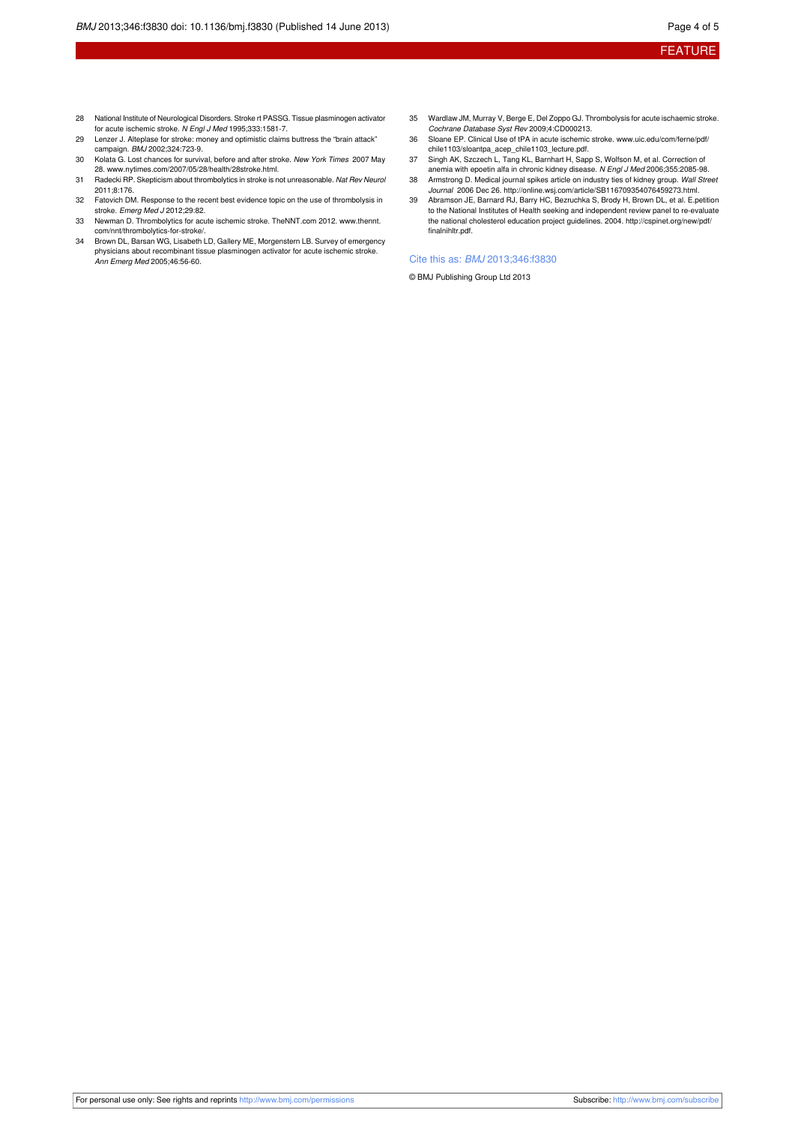- 28 National Institute of Neurological Disorders. Stroke rt PASSG. Tissue plasminogen activator for acute ischemic stroke. *N Engl J Med* 1995;333:1581-7.
- 29 Lenzer J. Alteplase for stroke: money and optimistic claims buttress the "brain attack" campaign. *BMJ* 2002;324:723-9.
- 30 Kolata G. Lost chances for survival, before and after stroke. *New York Times* 2007 May 28. [www.nytimes.com/2007/05/28/health/28stroke.html.](http://www.nytimes.com/2007/05/28/health/28stroke.html)
- 31 Radecki RP. Skepticism about thrombolytics in stroke is not unreasonable. *Nat Rev Neurol* 2011;8:176.
- 32 Fatovich DM. Response to the recent best evidence topic on the use of thrombolysis in stroke. *Emerg Med J* 2012;29:82.
- 33 Newman D. Thrombolytics for acute ischemic stroke. TheNNT.com 2012. [www.thennt.](http://www.thennt.com/nnt/thrombolytics-for-stroke/) [com/nnt/thrombolytics-for-stroke/.](http://www.thennt.com/nnt/thrombolytics-for-stroke/)
- 34 Brown DL, Barsan WG, Lisabeth LD, Gallery ME, Morgenstern LB. Survey of emergency physicians about recombinant tissue plasminogen activator for acute ischemic stroke. *Ann Emerg Med* 2005;46:56-60.
- 35 Wardlaw JM, Murray V, Berge E, Del Zoppo GJ. Thrombolysis for acute ischaemic stroke. *Cochrane Database Syst Rev* 2009;4:CD000213.
- 36 Sloane EP. Clinical Use of tPA in acute ischemic stroke. [www.uic.edu/com/ferne/pdf/](http://www.uic.edu/com/ferne/pdf/chile1103/sloantpa_acep_chile1103_lecture.pdf) [chile1103/sloantpa\\_acep\\_chile1103\\_lecture.pdf.](http://www.uic.edu/com/ferne/pdf/chile1103/sloantpa_acep_chile1103_lecture.pdf)
- 37 Singh AK, Szczech L, Tang KL, Barnhart H, Sapp S, Wolfson M, et al. Correction of anemia with epoetin alfa in chronic kidney disease. *N Engl J Med* 2006;355:2085-98.
- 38 Armstrong D. Medical journal spikes article on industry ties of kidney group. *Wall Street Journal* 2006 Dec 26. <http://online.wsj.com/article/SB116709354076459273.html>.
- 39 Abramson JE, Barnard RJ, Barry HC, Bezruchka S, Brody H, Brown DL, et al. E.petition to the National Institutes of Health seeking and independent review panel to re-evaluate the national cholesterol education project guidelines. 2004. [http://cspinet.org/new/pdf/](http://cspinet.org/new/pdf/finalnihltr.pdf) finalnihltr.pdf

#### Cite this as: *BMJ* 2013;346:f3830

© BMJ Publishing Group Ltd 2013